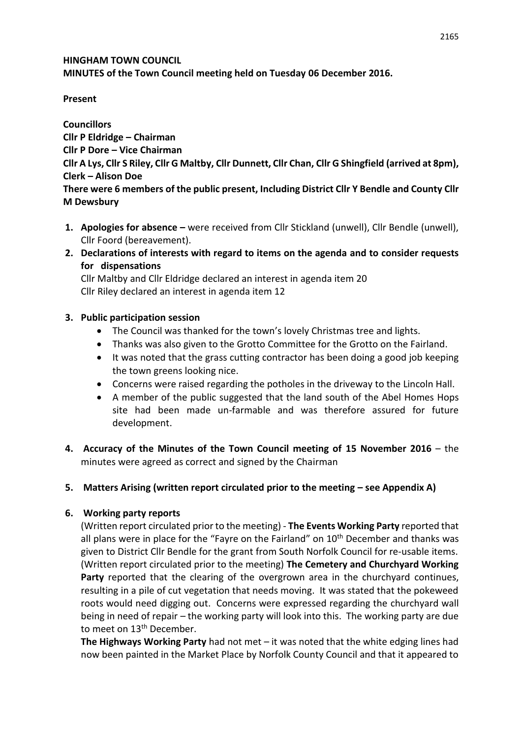#### **HINGHAM TOWN COUNCIL MINUTES of the Town Council meeting held on Tuesday 06 December 2016.**

## **Present**

**Councillors Cllr P Eldridge – Chairman Cllr P Dore – Vice Chairman Cllr A Lys, Cllr S Riley, Cllr G Maltby, Cllr Dunnett, Cllr Chan, Cllr G Shingfield (arrived at 8pm), Clerk – Alison Doe There were 6 members of the public present, Including District Cllr Y Bendle and County Cllr M Dewsbury**

- **1. Apologies for absence –** were received from Cllr Stickland (unwell), Cllr Bendle (unwell), Cllr Foord (bereavement).
- **2. Declarations of interests with regard to items on the agenda and to consider requests for dispensations**

Cllr Maltby and Cllr Eldridge declared an interest in agenda item 20 Cllr Riley declared an interest in agenda item 12

### **3. Public participation session**

- The Council was thanked for the town's lovely Christmas tree and lights.
- Thanks was also given to the Grotto Committee for the Grotto on the Fairland.
- It was noted that the grass cutting contractor has been doing a good job keeping the town greens looking nice.
- Concerns were raised regarding the potholes in the driveway to the Lincoln Hall.
- A member of the public suggested that the land south of the Abel Homes Hops site had been made un-farmable and was therefore assured for future development.
- **4. Accuracy of the Minutes of the Town Council meeting of 15 November 2016** the minutes were agreed as correct and signed by the Chairman

# **5. Matters Arising (written report circulated prior to the meeting – see Appendix A)**

# **6. Working party reports**

(Written report circulated prior to the meeting) - **The Events Working Party** reported that all plans were in place for the "Fayre on the Fairland" on  $10<sup>th</sup>$  December and thanks was given to District Cllr Bendle for the grant from South Norfolk Council for re-usable items. (Written report circulated prior to the meeting) **The Cemetery and Churchyard Working Party** reported that the clearing of the overgrown area in the churchyard continues, resulting in a pile of cut vegetation that needs moving. It was stated that the pokeweed roots would need digging out. Concerns were expressed regarding the churchyard wall being in need of repair – the working party will look into this. The working party are due to meet on 13<sup>th</sup> December.

**The Highways Working Party** had not met – it was noted that the white edging lines had now been painted in the Market Place by Norfolk County Council and that it appeared to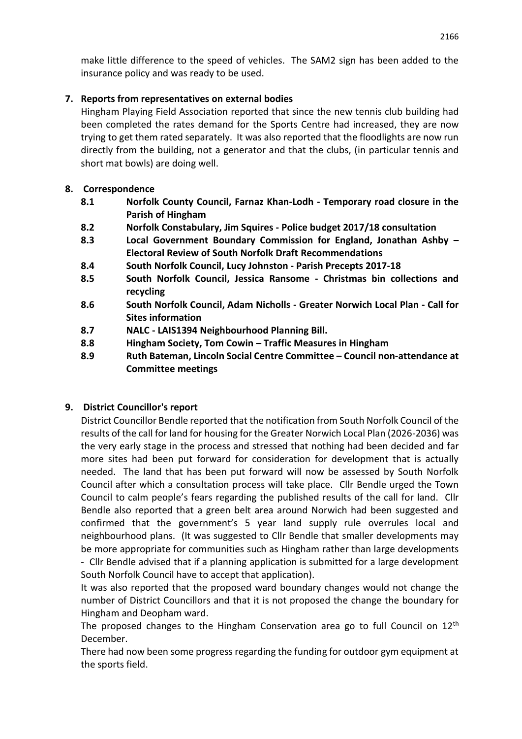make little difference to the speed of vehicles. The SAM2 sign has been added to the insurance policy and was ready to be used.

## **7. Reports from representatives on external bodies**

Hingham Playing Field Association reported that since the new tennis club building had been completed the rates demand for the Sports Centre had increased, they are now trying to get them rated separately. It was also reported that the floodlights are now run directly from the building, not a generator and that the clubs, (in particular tennis and short mat bowls) are doing well.

## **8. Correspondence**

- **8.1 Norfolk County Council, Farnaz Khan-Lodh - Temporary road closure in the Parish of Hingham**
- **8.2 Norfolk Constabulary, Jim Squires - Police budget 2017/18 consultation**
- **8.3 Local Government Boundary Commission for England, Jonathan Ashby – Electoral Review of South Norfolk Draft Recommendations**
- **8.4 South Norfolk Council, Lucy Johnston - Parish Precepts 2017-18**
- **8.5 South Norfolk Council, Jessica Ransome - Christmas bin collections and recycling**
- **8.6 South Norfolk Council, Adam Nicholls - Greater Norwich Local Plan - Call for Sites information**
- **8.7 NALC - LAIS1394 Neighbourhood Planning Bill.**
- **8.8 Hingham Society, Tom Cowin – Traffic Measures in Hingham**
- **8.9 Ruth Bateman, Lincoln Social Centre Committee – Council non-attendance at Committee meetings**

# **9. District Councillor's report**

District Councillor Bendle reported that the notification from South Norfolk Council of the results of the call for land for housing for the Greater Norwich Local Plan (2026-2036) was the very early stage in the process and stressed that nothing had been decided and far more sites had been put forward for consideration for development that is actually needed. The land that has been put forward will now be assessed by South Norfolk Council after which a consultation process will take place. Cllr Bendle urged the Town Council to calm people's fears regarding the published results of the call for land. Cllr Bendle also reported that a green belt area around Norwich had been suggested and confirmed that the government's 5 year land supply rule overrules local and neighbourhood plans. (It was suggested to Cllr Bendle that smaller developments may be more appropriate for communities such as Hingham rather than large developments - Cllr Bendle advised that if a planning application is submitted for a large development

South Norfolk Council have to accept that application).

It was also reported that the proposed ward boundary changes would not change the number of District Councillors and that it is not proposed the change the boundary for Hingham and Deopham ward.

The proposed changes to the Hingham Conservation area go to full Council on  $12<sup>th</sup>$ December.

There had now been some progress regarding the funding for outdoor gym equipment at the sports field.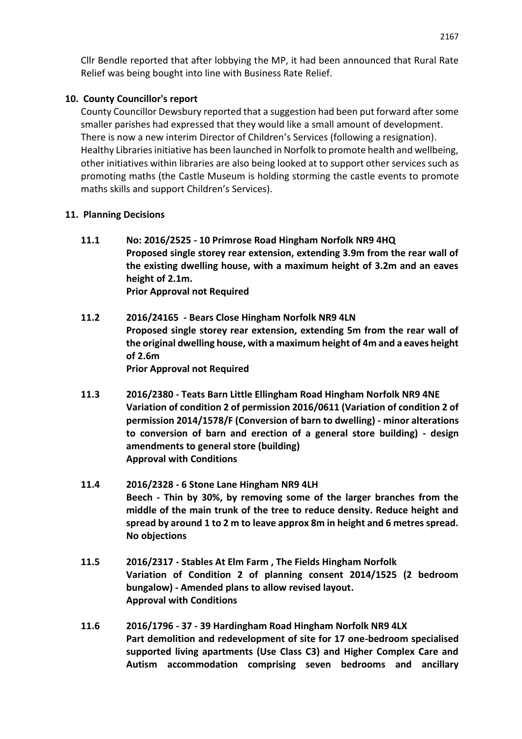Cllr Bendle reported that after lobbying the MP, it had been announced that Rural Rate Relief was being bought into line with Business Rate Relief.

## **10. County Councillor's report**

County Councillor Dewsbury reported that a suggestion had been put forward after some smaller parishes had expressed that they would like a small amount of development. There is now a new interim Director of Children's Services (following a resignation). Healthy Libraries initiative has been launched in Norfolk to promote health and wellbeing, other initiatives within libraries are also being looked at to support other services such as promoting maths (the Castle Museum is holding storming the castle events to promote maths skills and support Children's Services).

### **11. Planning Decisions**

- **11.1 No: 2016/2525 - 10 Primrose Road Hingham Norfolk NR9 4HQ Proposed single storey rear extension, extending 3.9m from the rear wall of the existing dwelling house, with a maximum height of 3.2m and an eaves height of 2.1m. Prior Approval not Required**
- **11.2 2016/24165 - Bears Close Hingham Norfolk NR9 4LN Proposed single storey rear extension, extending 5m from the rear wall of the original dwelling house, with a maximum height of 4m and a eaves height of 2.6m Prior Approval not Required**
- **11.3 2016/2380 - Teats Barn Little Ellingham Road Hingham Norfolk NR9 4NE Variation of condition 2 of permission 2016/0611 (Variation of condition 2 of permission 2014/1578/F (Conversion of barn to dwelling) - minor alterations to conversion of barn and erection of a general store building) - design amendments to general store (building) Approval with Conditions**
- **11.4 2016/2328 - 6 Stone Lane Hingham NR9 4LH Beech - Thin by 30%, by removing some of the larger branches from the middle of the main trunk of the tree to reduce density. Reduce height and spread by around 1 to 2 m to leave approx 8m in height and 6 metres spread. No objections**
- **11.5 2016/2317 - Stables At Elm Farm , The Fields Hingham Norfolk Variation of Condition 2 of planning consent 2014/1525 (2 bedroom bungalow) - Amended plans to allow revised layout. Approval with Conditions**
- **11.6 2016/1796 - 37 - 39 Hardingham Road Hingham Norfolk NR9 4LX Part demolition and redevelopment of site for 17 one-bedroom specialised supported living apartments (Use Class C3) and Higher Complex Care and Autism accommodation comprising seven bedrooms and ancillary**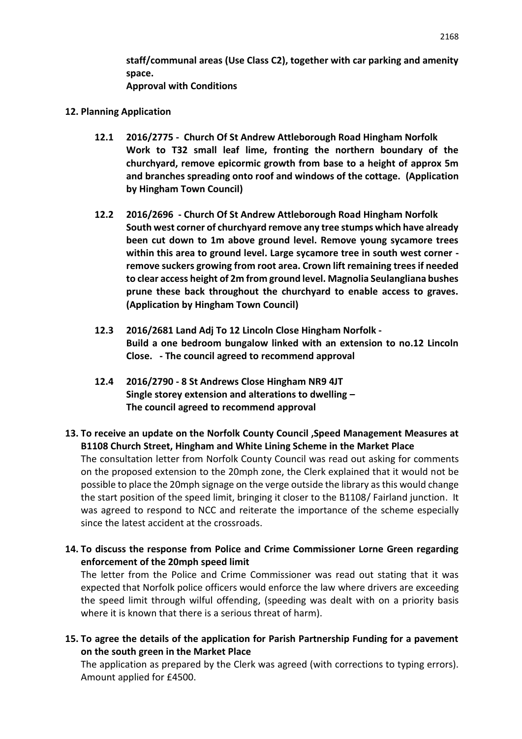**staff/communal areas (Use Class C2), together with car parking and amenity space. Approval with Conditions**

#### **12. Planning Application**

- **12.1 2016/2775 Church Of St Andrew Attleborough Road Hingham Norfolk Work to T32 small leaf lime, fronting the northern boundary of the churchyard, remove epicormic growth from base to a height of approx 5m and branches spreading onto roof and windows of the cottage. (Application by Hingham Town Council)**
- **12.2 2016/2696 - Church Of St Andrew Attleborough Road Hingham Norfolk South west corner of churchyard remove any tree stumps which have already been cut down to 1m above ground level. Remove young sycamore trees within this area to ground level. Large sycamore tree in south west corner remove suckers growing from root area. Crown lift remaining trees if needed to clear access height of 2m from ground level. Magnolia Seulangliana bushes prune these back throughout the churchyard to enable access to graves. (Application by Hingham Town Council)**
- **12.3 2016/2681 Land Adj To 12 Lincoln Close Hingham Norfolk Build a one bedroom bungalow linked with an extension to no.12 Lincoln Close. - The council agreed to recommend approval**
- **12.4 2016/2790 - 8 St Andrews Close Hingham NR9 4JT Single storey extension and alterations to dwelling – The council agreed to recommend approval**
- **13. To receive an update on the Norfolk County Council ,Speed Management Measures at B1108 Church Street, Hingham and White Lining Scheme in the Market Place**

The consultation letter from Norfolk County Council was read out asking for comments on the proposed extension to the 20mph zone, the Clerk explained that it would not be possible to place the 20mph signage on the verge outside the library as this would change the start position of the speed limit, bringing it closer to the B1108/ Fairland junction. It was agreed to respond to NCC and reiterate the importance of the scheme especially since the latest accident at the crossroads.

**14. To discuss the response from Police and Crime Commissioner Lorne Green regarding enforcement of the 20mph speed limit**

The letter from the Police and Crime Commissioner was read out stating that it was expected that Norfolk police officers would enforce the law where drivers are exceeding the speed limit through wilful offending, (speeding was dealt with on a priority basis where it is known that there is a serious threat of harm).

**15. To agree the details of the application for Parish Partnership Funding for a pavement on the south green in the Market Place**

The application as prepared by the Clerk was agreed (with corrections to typing errors). Amount applied for £4500.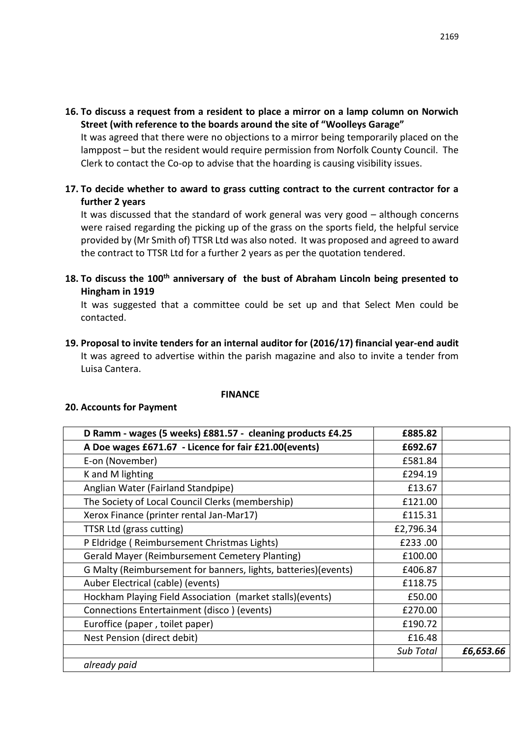**16. To discuss a request from a resident to place a mirror on a lamp column on Norwich Street (with reference to the boards around the site of "Woolleys Garage"**

It was agreed that there were no objections to a mirror being temporarily placed on the lamppost – but the resident would require permission from Norfolk County Council. The Clerk to contact the Co-op to advise that the hoarding is causing visibility issues.

**17. To decide whether to award to grass cutting contract to the current contractor for a further 2 years**

It was discussed that the standard of work general was very good – although concerns were raised regarding the picking up of the grass on the sports field, the helpful service provided by (Mr Smith of) TTSR Ltd was also noted. It was proposed and agreed to award the contract to TTSR Ltd for a further 2 years as per the quotation tendered.

**18. To discuss the 100th anniversary of the bust of Abraham Lincoln being presented to Hingham in 1919**

It was suggested that a committee could be set up and that Select Men could be contacted.

**19. Proposal to invite tenders for an internal auditor for (2016/17) financial year-end audit**  It was agreed to advertise within the parish magazine and also to invite a tender from Luisa Cantera.

#### **FINANCE**

#### **20. Accounts for Payment**

| D Ramm - wages (5 weeks) £881.57 - cleaning products £4.25      | £885.82          |           |
|-----------------------------------------------------------------|------------------|-----------|
| A Doe wages £671.67 - Licence for fair £21.00(events)           | £692.67          |           |
| E-on (November)                                                 | £581.84          |           |
| K and M lighting                                                | £294.19          |           |
| Anglian Water (Fairland Standpipe)                              | £13.67           |           |
| The Society of Local Council Clerks (membership)                | £121.00          |           |
| Xerox Finance (printer rental Jan-Mar17)                        | £115.31          |           |
| TTSR Ltd (grass cutting)                                        | £2,796.34        |           |
| P Eldridge (Reimbursement Christmas Lights)                     | £233.00          |           |
| <b>Gerald Mayer (Reimbursement Cemetery Planting)</b>           | £100.00          |           |
| G Malty (Reimbursement for banners, lights, batteries) (events) | £406.87          |           |
| Auber Electrical (cable) (events)                               | £118.75          |           |
| Hockham Playing Field Association (market stalls)(events)       | £50.00           |           |
| Connections Entertainment (disco) (events)                      | £270.00          |           |
| Euroffice (paper, toilet paper)                                 | £190.72          |           |
| Nest Pension (direct debit)                                     | £16.48           |           |
|                                                                 | <b>Sub Total</b> | £6,653.66 |
| already paid                                                    |                  |           |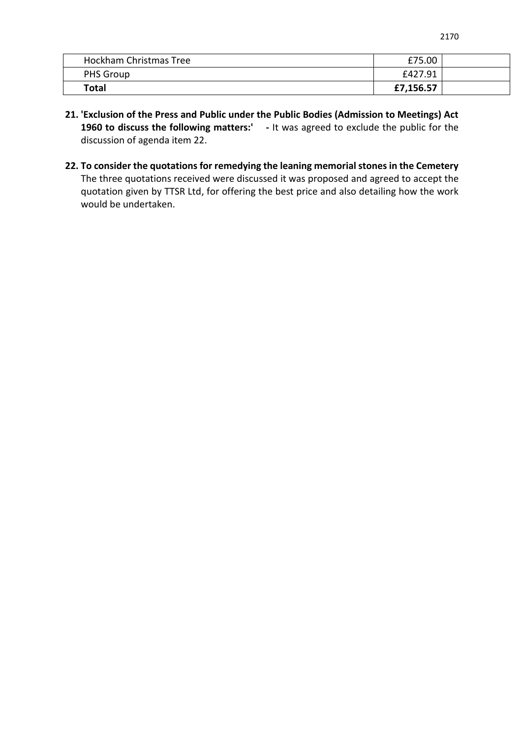| Hockham Christmas Tree | £75.00    |  |
|------------------------|-----------|--|
| PHS Group              | £427.91   |  |
| <b>Total</b>           | £7,156.57 |  |

- **21. 'Exclusion of the Press and Public under the Public Bodies (Admission to Meetings) Act**  1960 to discuss the following matters:' - It was agreed to exclude the public for the discussion of agenda item 22.
- **22. To consider the quotations for remedying the leaning memorial stones in the Cemetery** The three quotations received were discussed it was proposed and agreed to accept the quotation given by TTSR Ltd, for offering the best price and also detailing how the work would be undertaken.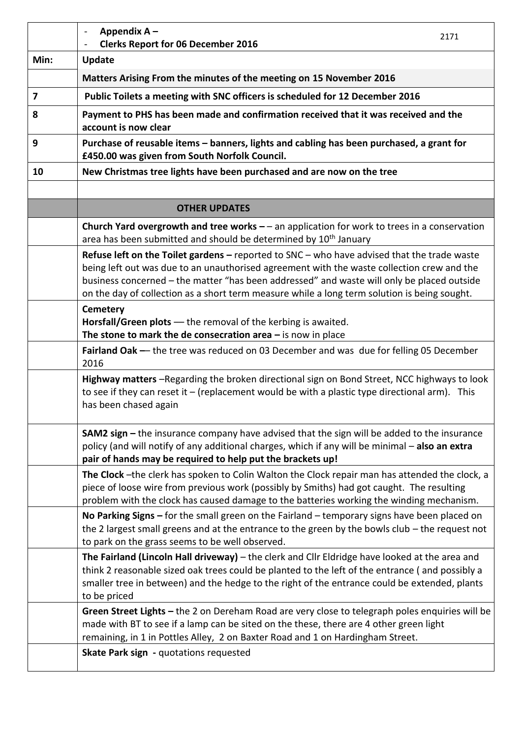|                         | Appendix A-<br>$\blacksquare$<br>2171<br><b>Clerks Report for 06 December 2016</b>                                                                                                                                                                                                                                                                                                          |
|-------------------------|---------------------------------------------------------------------------------------------------------------------------------------------------------------------------------------------------------------------------------------------------------------------------------------------------------------------------------------------------------------------------------------------|
| Min:                    | <b>Update</b>                                                                                                                                                                                                                                                                                                                                                                               |
|                         | Matters Arising From the minutes of the meeting on 15 November 2016                                                                                                                                                                                                                                                                                                                         |
| $\overline{\mathbf{z}}$ | Public Toilets a meeting with SNC officers is scheduled for 12 December 2016                                                                                                                                                                                                                                                                                                                |
| 8                       | Payment to PHS has been made and confirmation received that it was received and the<br>account is now clear                                                                                                                                                                                                                                                                                 |
| 9                       | Purchase of reusable items - banners, lights and cabling has been purchased, a grant for<br>£450.00 was given from South Norfolk Council.                                                                                                                                                                                                                                                   |
| 10                      | New Christmas tree lights have been purchased and are now on the tree                                                                                                                                                                                                                                                                                                                       |
|                         |                                                                                                                                                                                                                                                                                                                                                                                             |
|                         | <b>OTHER UPDATES</b>                                                                                                                                                                                                                                                                                                                                                                        |
|                         | Church Yard overgrowth and tree works $-$ - an application for work to trees in a conservation<br>area has been submitted and should be determined by 10 <sup>th</sup> January                                                                                                                                                                                                              |
|                         | Refuse left on the Toilet gardens $-$ reported to SNC $-$ who have advised that the trade waste<br>being left out was due to an unauthorised agreement with the waste collection crew and the<br>business concerned - the matter "has been addressed" and waste will only be placed outside<br>on the day of collection as a short term measure while a long term solution is being sought. |
|                         | <b>Cemetery</b><br>Horsfall/Green plots - the removal of the kerbing is awaited.<br>The stone to mark the de consecration area $-$ is now in place                                                                                                                                                                                                                                          |
|                         | Fairland Oak - the tree was reduced on 03 December and was due for felling 05 December<br>2016                                                                                                                                                                                                                                                                                              |
|                         | Highway matters -Regarding the broken directional sign on Bond Street, NCC highways to look<br>to see if they can reset it $-$ (replacement would be with a plastic type directional arm). This<br>has been chased again                                                                                                                                                                    |
|                         | <b>SAM2 sign</b> $-$ the insurance company have advised that the sign will be added to the insurance<br>policy (and will notify of any additional charges, which if any will be minimal - also an extra<br>pair of hands may be required to help put the brackets up!                                                                                                                       |
|                         | The Clock -the clerk has spoken to Colin Walton the Clock repair man has attended the clock, a<br>piece of loose wire from previous work (possibly by Smiths) had got caught. The resulting<br>problem with the clock has caused damage to the batteries working the winding mechanism.                                                                                                     |
|                         | No Parking Signs $-$ for the small green on the Fairland $-$ temporary signs have been placed on<br>the 2 largest small greens and at the entrance to the green by the bowls club $-$ the request not<br>to park on the grass seems to be well observed.                                                                                                                                    |
|                         | The Fairland (Lincoln Hall driveway) – the clerk and Cllr Eldridge have looked at the area and<br>think 2 reasonable sized oak trees could be planted to the left of the entrance (and possibly a<br>smaller tree in between) and the hedge to the right of the entrance could be extended, plants<br>to be priced                                                                          |
|                         | Green Street Lights - the 2 on Dereham Road are very close to telegraph poles enquiries will be<br>made with BT to see if a lamp can be sited on the these, there are 4 other green light<br>remaining, in 1 in Pottles Alley, 2 on Baxter Road and 1 on Hardingham Street.                                                                                                                 |
|                         | Skate Park sign - quotations requested                                                                                                                                                                                                                                                                                                                                                      |